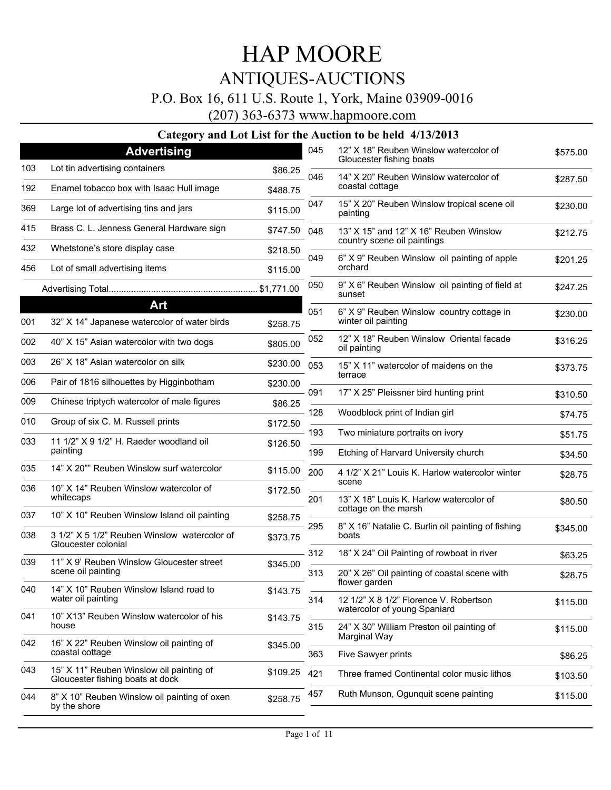### P.O. Box 16, 611 U.S. Route 1, York, Maine 03909-0016

(207) 363-6373 www.hapmoore.com

|     | <b>Advertising</b>                                                           |          | 045        | 12" X 18" Reuben Winslow watercolor of                                   | \$575.00           |
|-----|------------------------------------------------------------------------------|----------|------------|--------------------------------------------------------------------------|--------------------|
| 103 | Lot tin advertising containers                                               | \$86.25  |            | Gloucester fishing boats                                                 |                    |
| 192 | Enamel tobacco box with Isaac Hull image                                     | \$488.75 | 046        | 14" X 20" Reuben Winslow watercolor of<br>coastal cottage                | \$287.50           |
| 369 | Large lot of advertising tins and jars                                       | \$115.00 | 047        | 15" X 20" Reuben Winslow tropical scene oil<br>painting                  | \$230.00           |
| 415 | Brass C. L. Jenness General Hardware sign                                    | \$747.50 | 048        | 13" X 15" and 12" X 16" Reuben Winslow                                   | \$212.75           |
| 432 | Whetstone's store display case                                               | \$218.50 |            | country scene oil paintings                                              |                    |
| 456 | Lot of small advertising items                                               | \$115.00 | 049        | 6" X 9" Reuben Winslow oil painting of apple<br>orchard                  | \$201.25           |
|     |                                                                              |          | 050        | 9" X 6" Reuben Winslow oil painting of field at<br>sunset                | \$247.25           |
| 001 | Art<br>32" X 14" Japanese watercolor of water birds                          | \$258.75 | 051        | 6" X 9" Reuben Winslow country cottage in<br>winter oil painting         | \$230.00           |
| 002 | 40" X 15" Asian watercolor with two dogs                                     | \$805.00 | 052        | 12" X 18" Reuben Winslow Oriental facade<br>oil painting                 | \$316.25           |
| 003 | 26" X 18" Asian watercolor on silk                                           | \$230.00 | 053        | 15" X 11" watercolor of maidens on the<br>terrace                        | \$373.75           |
| 006 | Pair of 1816 silhouettes by Higginbotham                                     | \$230.00 | 091        | 17" X 25" Pleissner bird hunting print                                   | \$310.50           |
| 009 | Chinese triptych watercolor of male figures                                  | \$86.25  | 128        | Woodblock print of Indian girl                                           |                    |
| 010 | Group of six C. M. Russell prints                                            | \$172.50 |            |                                                                          | \$74.75            |
| 033 | 11 1/2" X 9 1/2" H. Raeder woodland oil<br>painting                          | \$126.50 | 193<br>199 | Two miniature portraits on ivory<br>Etching of Harvard University church | \$51.75<br>\$34.50 |
| 035 | 14" X 20"" Reuben Winslow surf watercolor                                    | \$115.00 | 200        | 4 1/2" X 21" Louis K. Harlow watercolor winter                           |                    |
| 036 | 10" X 14" Reuben Winslow watercolor of                                       | \$172.50 |            | scene                                                                    | \$28.75            |
|     | whitecaps                                                                    |          | 201        | 13" X 18" Louis K. Harlow watercolor of<br>cottage on the marsh          | \$80.50            |
| 037 | 10" X 10" Reuben Winslow Island oil painting                                 | \$258.75 | 295        | 8" X 16" Natalie C. Burlin oil painting of fishing                       | \$345.00           |
| 038 | 3 1/2" X 5 1/2" Reuben Winslow watercolor of<br>Gloucester colonial          | \$373.75 |            | boats                                                                    |                    |
| 039 | 11" X 9' Reuben Winslow Gloucester street                                    | \$345.00 | 312        | 18" X 24" Oil Painting of rowboat in river                               | \$63.25            |
|     | scene oil painting                                                           |          | 313        | 20" X 26" Oil painting of coastal scene with<br>flower garden            | \$28.75            |
| 040 | 14" X 10" Reuben Winslow Island road to<br>water oil painting                | \$143.75 | 314        | 12 1/2" X 8 1/2" Florence V. Robertson                                   | \$115.00           |
| 041 | 10" X13" Reuben Winslow watercolor of his<br>house                           | \$143.75 |            | watercolor of young Spaniard                                             |                    |
| 042 | 16" X 22" Reuben Winslow oil painting of                                     |          | 315        | 24" X 30" William Preston oil painting of<br>Marginal Way                | \$115.00           |
|     | coastal cottage                                                              | \$345.00 | 363        | Five Sawyer prints                                                       | \$86.25            |
| 043 | 15" X 11" Reuben Winslow oil painting of<br>Gloucester fishing boats at dock | \$109.25 | 421        | Three framed Continental color music lithos                              | \$103.50           |
| 044 | 8" X 10" Reuben Winslow oil painting of oxen                                 | \$258.75 | 457        | Ruth Munson, Ogunguit scene painting                                     | \$115.00           |
|     | by the shore                                                                 |          |            |                                                                          |                    |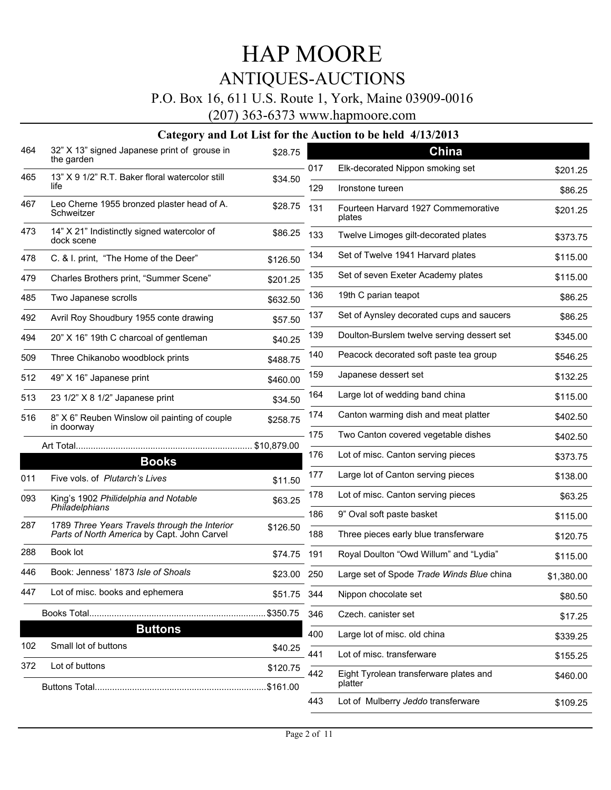### P.O. Box 16, 611 U.S. Route 1, York, Maine 03909-0016

(207) 363-6373 www.hapmoore.com

|     | $\alpha$ and $\alpha$ and $\alpha$ and $\alpha$ and $\alpha$                                 |             |     |                                               |            |
|-----|----------------------------------------------------------------------------------------------|-------------|-----|-----------------------------------------------|------------|
| 464 | 32" X 13" signed Japanese print of grouse in<br>the garden                                   | \$28.75     |     | China                                         |            |
| 465 | 13" X 9 1/2" R.T. Baker floral watercolor still                                              | \$34.50     | 017 | Elk-decorated Nippon smoking set              | \$201.25   |
|     | life                                                                                         |             | 129 | Ironstone tureen                              | \$86.25    |
| 467 | Leo Cherne 1955 bronzed plaster head of A.<br>Schweitzer                                     | \$28.75     | 131 | Fourteen Harvard 1927 Commemorative<br>plates | \$201.25   |
| 473 | 14" X 21" Indistinctly signed watercolor of<br>dock scene                                    | \$86.25     | 133 | Twelve Limoges gilt-decorated plates          | \$373.75   |
| 478 | C. & I. print, "The Home of the Deer"                                                        | \$126.50    | 134 | Set of Twelve 1941 Harvard plates             | \$115.00   |
| 479 | Charles Brothers print, "Summer Scene"                                                       | \$201.25    | 135 | Set of seven Exeter Academy plates            | \$115.00   |
| 485 | Two Japanese scrolls                                                                         | \$632.50    | 136 | 19th C parian teapot                          | \$86.25    |
| 492 | Avril Roy Shoudbury 1955 conte drawing                                                       | \$57.50     | 137 | Set of Aynsley decorated cups and saucers     | \$86.25    |
| 494 | 20" X 16" 19th C charcoal of gentleman                                                       | \$40.25     | 139 | Doulton-Burslem twelve serving dessert set    | \$345.00   |
| 509 | Three Chikanobo woodblock prints                                                             | \$488.75    | 140 | Peacock decorated soft paste tea group        | \$546.25   |
| 512 | 49" X 16" Japanese print                                                                     | \$460.00    | 159 | Japanese dessert set                          | \$132.25   |
| 513 | 23 1/2" X 8 1/2" Japanese print                                                              | \$34.50     | 164 | Large lot of wedding band china               | \$115.00   |
| 516 | 8" X 6" Reuben Winslow oil painting of couple<br>in doorway                                  | \$258.75    | 174 | Canton warming dish and meat platter          | \$402.50   |
|     |                                                                                              |             | 175 | Two Canton covered vegetable dishes           | \$402.50   |
|     | <b>Books</b>                                                                                 | \$10,879.00 | 176 | Lot of misc. Canton serving pieces            | \$373.75   |
| 011 | Five vols. of Plutarch's Lives                                                               | \$11.50     | 177 | Large lot of Canton serving pieces            | \$138.00   |
| 093 | King's 1902 Philidelphia and Notable                                                         | \$63.25     | 178 | Lot of misc. Canton serving pieces            | \$63.25    |
|     | Philadelphians                                                                               |             | 186 | 9" Oval soft paste basket                     | \$115.00   |
| 287 | 1789 Three Years Travels through the Interior<br>Parts of North America by Capt. John Carvel | \$126.50    | 188 | Three pieces early blue transferware          | \$120.75   |
| 288 | Book lot                                                                                     | \$74.75     | 191 | Royal Doulton "Owd Willum" and "Lydia"        | \$115.00   |
| 446 | Book: Jenness' 1873 Isle of Shoals                                                           | \$23.00 250 |     | Large set of Spode Trade Winds Blue china     | \$1,380.00 |
| 447 | Lot of misc. books and ephemera                                                              | \$51.75 344 |     | Nippon chocolate set                          | \$80.50    |
|     |                                                                                              | \$350.75    | 346 | Czech. canister set                           | \$17.25    |
|     | <b>Buttons</b>                                                                               |             | 400 | Large lot of misc. old china                  | \$339.25   |
| 102 | Small lot of buttons                                                                         | \$40.25     | 441 | Lot of misc. transferware                     | \$155.25   |
| 372 | Lot of buttons                                                                               | \$120.75    | 442 | Eight Tyrolean transferware plates and        | \$460.00   |
|     |                                                                                              |             |     | platter                                       |            |
|     |                                                                                              |             | 443 | Lot of Mulberry Jeddo transferware            | \$109.25   |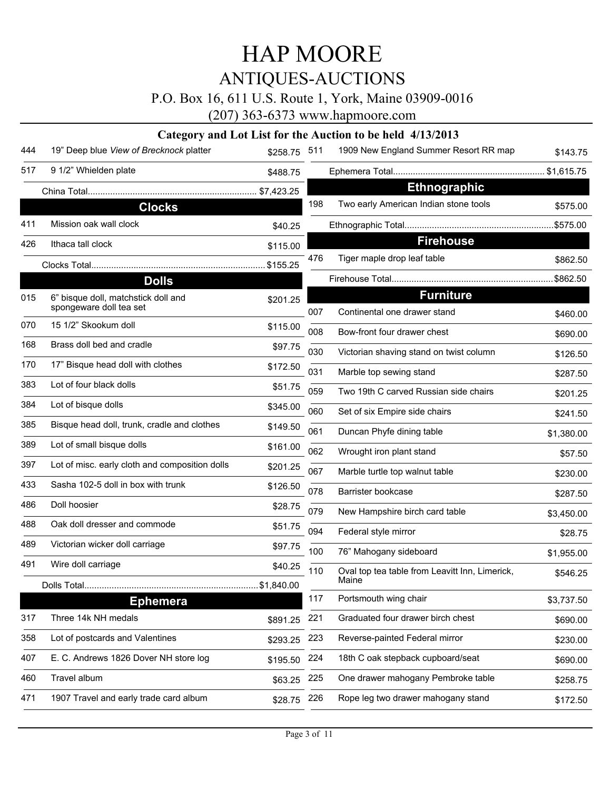### P.O. Box 16, 611 U.S. Route 1, York, Maine 03909-0016

(207) 363-6373 www.hapmoore.com

| 19" Deep blue View of Brecknock platter        | \$258.75                                                                                                                                     | 511                                        | 1909 New England Summer Resort RR map         | \$143.75                                                                                                                                                                                                                                                                                                |
|------------------------------------------------|----------------------------------------------------------------------------------------------------------------------------------------------|--------------------------------------------|-----------------------------------------------|---------------------------------------------------------------------------------------------------------------------------------------------------------------------------------------------------------------------------------------------------------------------------------------------------------|
| 9 1/2" Whielden plate                          | \$488.75                                                                                                                                     |                                            |                                               |                                                                                                                                                                                                                                                                                                         |
|                                                |                                                                                                                                              |                                            | <b>Ethnographic</b>                           |                                                                                                                                                                                                                                                                                                         |
| <b>Clocks</b>                                  |                                                                                                                                              | 198                                        | Two early American Indian stone tools         | \$575.00                                                                                                                                                                                                                                                                                                |
| Mission oak wall clock                         | \$40.25                                                                                                                                      |                                            |                                               |                                                                                                                                                                                                                                                                                                         |
| Ithaca tall clock                              | \$115.00                                                                                                                                     |                                            | <b>Firehouse</b>                              |                                                                                                                                                                                                                                                                                                         |
|                                                | \$155.25                                                                                                                                     | 476                                        | Tiger maple drop leaf table                   | \$862.50                                                                                                                                                                                                                                                                                                |
| <b>Dolls</b>                                   |                                                                                                                                              |                                            |                                               | \$862.50                                                                                                                                                                                                                                                                                                |
| 6" bisque doll, matchstick doll and            | \$201.25                                                                                                                                     |                                            |                                               |                                                                                                                                                                                                                                                                                                         |
|                                                |                                                                                                                                              |                                            |                                               | \$460.00                                                                                                                                                                                                                                                                                                |
|                                                |                                                                                                                                              |                                            | Bow-front four drawer chest                   | \$690.00                                                                                                                                                                                                                                                                                                |
|                                                |                                                                                                                                              | 030                                        | Victorian shaving stand on twist column       | \$126.50                                                                                                                                                                                                                                                                                                |
|                                                |                                                                                                                                              | 031                                        | Marble top sewing stand                       | \$287.50                                                                                                                                                                                                                                                                                                |
|                                                | \$51.75                                                                                                                                      | 059                                        | Two 19th C carved Russian side chairs         | \$201.25                                                                                                                                                                                                                                                                                                |
| Lot of bisque dolls                            | \$345.00                                                                                                                                     | 060                                        | Set of six Empire side chairs                 | \$241.50                                                                                                                                                                                                                                                                                                |
| Bisque head doll, trunk, cradle and clothes    | \$149.50                                                                                                                                     | 061                                        |                                               | \$1,380.00                                                                                                                                                                                                                                                                                              |
| Lot of small bisque dolls                      | \$161.00                                                                                                                                     | 062                                        |                                               | \$57.50                                                                                                                                                                                                                                                                                                 |
| Lot of misc. early cloth and composition dolls | \$201.25                                                                                                                                     | 067                                        |                                               | \$230.00                                                                                                                                                                                                                                                                                                |
| Sasha 102-5 doll in box with trunk             | \$126.50                                                                                                                                     |                                            |                                               | \$287.50                                                                                                                                                                                                                                                                                                |
| Doll hoosier                                   | \$28.75                                                                                                                                      |                                            |                                               | \$3,450.00                                                                                                                                                                                                                                                                                              |
| Oak doll dresser and commode                   | \$51.75                                                                                                                                      |                                            |                                               | \$28.75                                                                                                                                                                                                                                                                                                 |
| Victorian wicker doll carriage                 | \$97.75                                                                                                                                      |                                            |                                               |                                                                                                                                                                                                                                                                                                         |
| Wire doll carriage                             |                                                                                                                                              |                                            |                                               | \$1,955.00                                                                                                                                                                                                                                                                                              |
|                                                |                                                                                                                                              |                                            | Maine                                         | \$546.25                                                                                                                                                                                                                                                                                                |
| <b>Ephemera</b>                                |                                                                                                                                              | 117                                        | Portsmouth wing chair                         | \$3,737.50                                                                                                                                                                                                                                                                                              |
| Three 14k NH medals                            | \$891.25                                                                                                                                     | 221                                        | Graduated four drawer birch chest             | \$690.00                                                                                                                                                                                                                                                                                                |
| Lot of postcards and Valentines                | \$293.25                                                                                                                                     | 223                                        | Reverse-painted Federal mirror                | \$230.00                                                                                                                                                                                                                                                                                                |
| E. C. Andrews 1826 Dover NH store log          | \$195.50                                                                                                                                     | 224                                        | 18th C oak stepback cupboard/seat             | \$690.00                                                                                                                                                                                                                                                                                                |
| Travel album                                   | \$63.25                                                                                                                                      | 225                                        | One drawer mahogany Pembroke table            | \$258.75                                                                                                                                                                                                                                                                                                |
| 1907 Travel and early trade card album         | \$28.75                                                                                                                                      | 226                                        | Rope leg two drawer mahogany stand            | \$172.50                                                                                                                                                                                                                                                                                                |
|                                                | spongeware doll tea set<br>15 1/2" Skookum doll<br>Brass doll bed and cradle<br>17" Bisque head doll with clothes<br>Lot of four black dolls | \$115.00<br>\$97.75<br>\$172.50<br>\$40.25 | 007<br>008<br>078<br>079<br>094<br>100<br>110 | <b>Furniture</b><br>Continental one drawer stand<br>Duncan Phyfe dining table<br>Wrought iron plant stand<br>Marble turtle top walnut table<br>Barrister bookcase<br>New Hampshire birch card table<br>Federal style mirror<br>76" Mahogany sideboard<br>Oval top tea table from Leavitt Inn, Limerick, |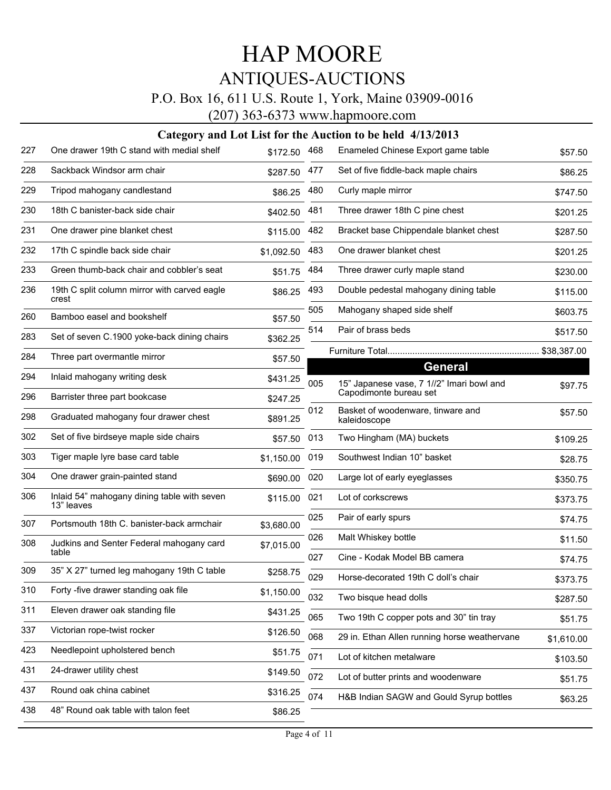### P.O. Box 16, 611 U.S. Route 1, York, Maine 03909-0016

(207) 363-6373 www.hapmoore.com

| 227 | One drawer 19th C stand with medial shelf                 | \$172.50   | 468 | Enameled Chinese Export game table                                  | \$57.50     |
|-----|-----------------------------------------------------------|------------|-----|---------------------------------------------------------------------|-------------|
| 228 | Sackback Windsor arm chair                                | \$287.50   | 477 | Set of five fiddle-back maple chairs                                | \$86.25     |
| 229 | Tripod mahogany candlestand                               | \$86.25    | 480 | Curly maple mirror                                                  | \$747.50    |
| 230 | 18th C banister-back side chair                           | \$402.50   | 481 | Three drawer 18th C pine chest                                      | \$201.25    |
| 231 | One drawer pine blanket chest                             | \$115.00   | 482 | Bracket base Chippendale blanket chest                              | \$287.50    |
| 232 | 17th C spindle back side chair                            | \$1,092.50 | 483 | One drawer blanket chest                                            | \$201.25    |
| 233 | Green thumb-back chair and cobbler's seat                 | \$51.75    | 484 | Three drawer curly maple stand                                      | \$230.00    |
| 236 | 19th C split column mirror with carved eagle<br>crest     | \$86.25    | 493 | Double pedestal mahogany dining table                               | \$115.00    |
| 260 | Bamboo easel and bookshelf                                | \$57.50    | 505 | Mahogany shaped side shelf                                          | \$603.75    |
| 283 | Set of seven C.1900 yoke-back dining chairs               | \$362.25   | 514 | Pair of brass beds                                                  | \$517.50    |
| 284 | Three part overmantle mirror                              | \$57.50    |     |                                                                     | \$38,387.00 |
| 294 | Inlaid mahogany writing desk                              | \$431.25   | 005 | General                                                             |             |
| 296 | Barrister three part bookcase                             | \$247.25   |     | 15" Japanese vase, 7 1//2" Imari bowl and<br>Capodimonte bureau set | \$97.75     |
| 298 | Graduated mahogany four drawer chest                      | \$891.25   | 012 | Basket of woodenware, tinware and<br>kaleidoscope                   | \$57.50     |
| 302 | Set of five birdseye maple side chairs                    | \$57.50    | 013 | Two Hingham (MA) buckets                                            | \$109.25    |
| 303 | Tiger maple lyre base card table                          | \$1,150.00 | 019 | Southwest Indian 10" basket                                         | \$28.75     |
| 304 | One drawer grain-painted stand                            | \$690.00   | 020 | Large lot of early eyeglasses                                       | \$350.75    |
| 306 | Inlaid 54" mahogany dining table with seven<br>13" leaves | \$115.00   | 021 | Lot of corkscrews                                                   | \$373.75    |
| 307 | Portsmouth 18th C. banister-back armchair                 | \$3,680.00 | 025 | Pair of early spurs                                                 | \$74.75     |
| 308 | Judkins and Senter Federal mahogany card                  | \$7,015.00 | 026 | Malt Whiskey bottle                                                 | \$11.50     |
|     | table                                                     |            | 027 | Cine - Kodak Model BB camera                                        | \$74.75     |
| 309 | 35" X 27" turned leg mahogany 19th C table                | \$258.75   | 029 | Horse-decorated 19th C doll's chair                                 | \$373.75    |
| 310 | Forty -five drawer standing oak file                      | \$1,150.00 | 032 | Two bisque head dolls                                               | \$287.50    |
| 311 | Eleven drawer oak standing file                           | \$431.25   | 065 | Two 19th C copper pots and 30" tin tray                             | \$51.75     |
| 337 | Victorian rope-twist rocker                               | \$126.50   | 068 | 29 in. Ethan Allen running horse weathervane                        | \$1,610.00  |
| 423 | Needlepoint upholstered bench                             | \$51.75    | 071 | Lot of kitchen metalware                                            | \$103.50    |
| 431 | 24-drawer utility chest                                   | \$149.50   | 072 | Lot of butter prints and woodenware                                 | \$51.75     |
| 437 | Round oak china cabinet                                   | \$316.25   | 074 | H&B Indian SAGW and Gould Syrup bottles                             | \$63.25     |
| 438 | 48" Round oak table with talon feet                       | \$86.25    |     |                                                                     |             |
|     |                                                           |            |     |                                                                     |             |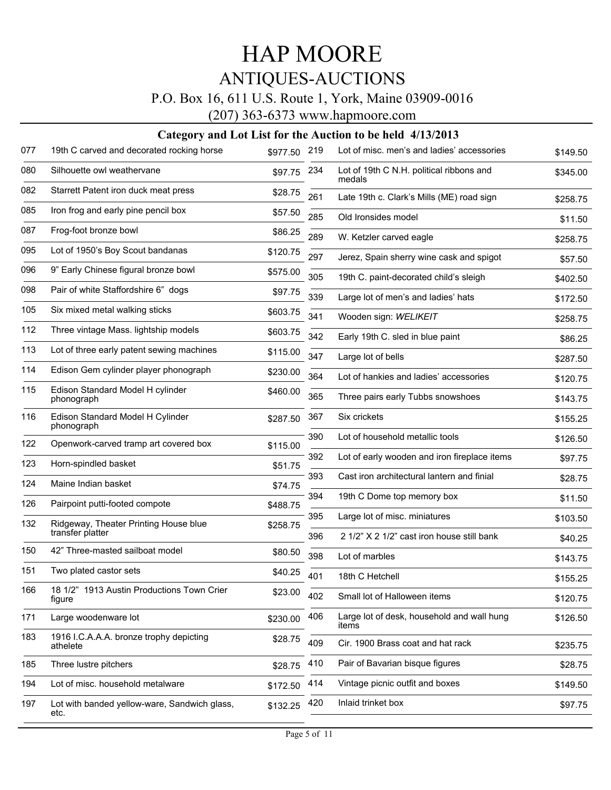### P.O. Box 16, 611 U.S. Route 1, York, Maine 03909-0016

(207) 363-6373 www.hapmoore.com

| 077 | 19th C carved and decorated rocking horse            | \$977.50 | 219 | Lot of misc, men's and ladies' accessories          | \$149.50 |
|-----|------------------------------------------------------|----------|-----|-----------------------------------------------------|----------|
| 080 | Silhouette owl weathervane                           | \$97.75  | 234 | Lot of 19th C N.H. political ribbons and<br>medals  | \$345.00 |
| 082 | Starrett Patent iron duck meat press                 | \$28.75  | 261 | Late 19th c. Clark's Mills (ME) road sign           | \$258.75 |
| 085 | Iron frog and early pine pencil box                  | \$57.50  | 285 | Old Ironsides model                                 | \$11.50  |
| 087 | Frog-foot bronze bowl                                | \$86.25  | 289 | W. Ketzler carved eagle                             | \$258.75 |
| 095 | Lot of 1950's Boy Scout bandanas                     | \$120.75 | 297 | Jerez, Spain sherry wine cask and spigot            | \$57.50  |
| 096 | 9" Early Chinese figural bronze bowl                 | \$575.00 | 305 | 19th C. paint-decorated child's sleigh              | \$402.50 |
| 098 | Pair of white Staffordshire 6" dogs                  | \$97.75  | 339 | Large lot of men's and ladies' hats                 | \$172.50 |
| 105 | Six mixed metal walking sticks                       | \$603.75 | 341 | Wooden sign: WELIKEIT                               | \$258.75 |
| 112 | Three vintage Mass. lightship models                 | \$603.75 | 342 | Early 19th C. sled in blue paint                    | \$86.25  |
| 113 | Lot of three early patent sewing machines            | \$115.00 | 347 | Large lot of bells                                  | \$287.50 |
| 114 | Edison Gem cylinder player phonograph                | \$230.00 | 364 | Lot of hankies and ladies' accessories              | \$120.75 |
| 115 | Edison Standard Model H cylinder<br>phonograph       | \$460.00 | 365 | Three pairs early Tubbs snowshoes                   | \$143.75 |
| 116 | Edison Standard Model H Cylinder                     | \$287.50 | 367 | Six crickets                                        | \$155.25 |
|     | phonograph                                           |          | 390 | Lot of household metallic tools                     | \$126.50 |
| 122 | Openwork-carved tramp art covered box                | \$115.00 | 392 | Lot of early wooden and iron fireplace items        |          |
| 123 | Horn-spindled basket                                 | \$51.75  |     |                                                     | \$97.75  |
| 124 | Maine Indian basket                                  | \$74.75  | 393 | Cast iron architectural lantern and finial          | \$28.75  |
| 126 | Pairpoint putti-footed compote                       | \$488.75 | 394 | 19th C Dome top memory box                          | \$11.50  |
| 132 | Ridgeway, Theater Printing House blue                | \$258.75 | 395 | Large lot of misc. miniatures                       | \$103.50 |
|     | transfer platter                                     |          | 396 | 2 1/2" X 2 1/2" cast iron house still bank          | \$40.25  |
| 150 | 42" Three-masted sailboat model                      | \$80.50  | 398 | Lot of marbles                                      | \$143.75 |
| 151 | Two plated castor sets                               | \$40.25  | 401 | 18th C Hetchell                                     | \$155.25 |
| 166 | 18 1/2" 1913 Austin Productions Town Crier<br>figure | \$23.00  | 402 | Small lot of Halloween items                        | \$120.75 |
| 171 | Large woodenware lot                                 | \$230.00 | 406 | Large lot of desk, household and wall hung<br>items | \$126.50 |
| 183 | 1916 I.C.A.A.A. bronze trophy depicting<br>athelete  | \$28.75  | 409 | Cir. 1900 Brass coat and hat rack                   | \$235.75 |
| 185 | Three lustre pitchers                                | \$28.75  | 410 | Pair of Bavarian bisque figures                     | \$28.75  |
| 194 | Lot of misc. household metalware                     | \$172.50 | 414 | Vintage picnic outfit and boxes                     | \$149.50 |
| 197 | Lot with banded yellow-ware, Sandwich glass,<br>etc. | \$132.25 | 420 | Inlaid trinket box                                  | \$97.75  |
|     |                                                      |          |     |                                                     |          |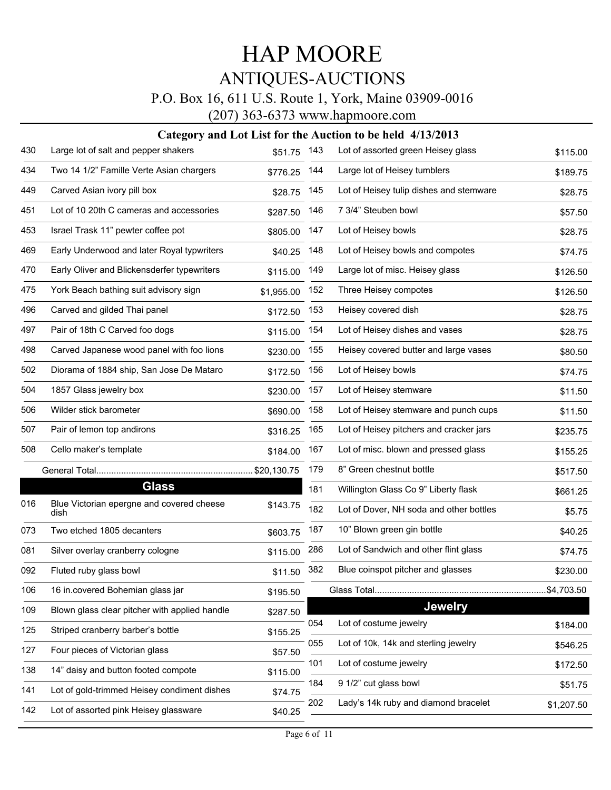### P.O. Box 16, 611 U.S. Route 1, York, Maine 03909-0016

(207) 363-6373 www.hapmoore.com

| 430 | Large lot of salt and pepper shakers              | \$51.75 143 |     | Lot of assorted green Heisey glass      | \$115.00   |
|-----|---------------------------------------------------|-------------|-----|-----------------------------------------|------------|
| 434 | Two 14 1/2" Famille Verte Asian chargers          | \$776.25    | 144 | Large lot of Heisey tumblers            | \$189.75   |
| 449 | Carved Asian ivory pill box                       | \$28.75     | 145 | Lot of Heisey tulip dishes and stemware | \$28.75    |
| 451 | Lot of 10 20th C cameras and accessories          | \$287.50    | 146 | 7 3/4" Steuben bowl                     | \$57.50    |
| 453 | Israel Trask 11" pewter coffee pot                | \$805.00    | 147 | Lot of Heisey bowls                     | \$28.75    |
| 469 | Early Underwood and later Royal typwriters        | \$40.25     | 148 | Lot of Heisey bowls and compotes        | \$74.75    |
| 470 | Early Oliver and Blickensderfer typewriters       | \$115.00    | 149 | Large lot of misc. Heisey glass         | \$126.50   |
| 475 | York Beach bathing suit advisory sign             | \$1,955.00  | 152 | Three Heisey compotes                   | \$126.50   |
| 496 | Carved and gilded Thai panel                      | \$172.50    | 153 | Heisey covered dish                     | \$28.75    |
| 497 | Pair of 18th C Carved foo dogs                    | \$115.00    | 154 | Lot of Heisey dishes and vases          | \$28.75    |
| 498 | Carved Japanese wood panel with foo lions         | \$230.00    | 155 | Heisey covered butter and large vases   | \$80.50    |
| 502 | Diorama of 1884 ship, San Jose De Mataro          | \$172.50    | 156 | Lot of Heisey bowls                     | \$74.75    |
| 504 | 1857 Glass jewelry box                            | \$230.00    | 157 | Lot of Heisey stemware                  | \$11.50    |
| 506 | Wilder stick barometer                            | \$690.00    | 158 | Lot of Heisey stemware and punch cups   | \$11.50    |
| 507 | Pair of lemon top andirons                        | \$316.25    | 165 | Lot of Heisey pitchers and cracker jars | \$235.75   |
| 508 | Cello maker's template                            | \$184.00    | 167 | Lot of misc. blown and pressed glass    | \$155.25   |
|     |                                                   |             | 179 | 8" Green chestnut bottle                | \$517.50   |
|     | <b>Glass</b>                                      |             | 181 | Willington Glass Co 9" Liberty flask    | \$661.25   |
| 016 | Blue Victorian epergne and covered cheese<br>dish | \$143.75    | 182 | Lot of Dover, NH soda and other bottles | \$5.75     |
| 073 | Two etched 1805 decanters                         | \$603.75    | 187 | 10" Blown green gin bottle              | \$40.25    |
| 081 | Silver overlay cranberry cologne                  | \$115.00    | 286 | Lot of Sandwich and other flint glass   | \$74.75    |
| 092 | Fluted ruby glass bowl                            | \$11.50     | 382 | Blue coinspot pitcher and glasses       | \$230.00   |
| 106 | 16 in.covered Bohemian glass jar                  | \$195.50    |     |                                         | \$4,703.50 |
| 109 | Blown glass clear pitcher with applied handle     | \$287.50    |     | <b>Jewelry</b>                          |            |
| 125 | Striped cranberry barber's bottle                 | \$155.25    | 054 | Lot of costume jewelry                  | \$184.00   |
| 127 | Four pieces of Victorian glass                    | \$57.50     | 055 | Lot of 10k, 14k and sterling jewelry    | \$546.25   |
| 138 | 14" daisy and button footed compote               | \$115.00    | 101 | Lot of costume jewelry                  | \$172.50   |
| 141 | Lot of gold-trimmed Heisey condiment dishes       | \$74.75     | 184 | 9 1/2" cut glass bowl                   | \$51.75    |
| 142 | Lot of assorted pink Heisey glassware             | \$40.25     | 202 | Lady's 14k ruby and diamond bracelet    | \$1,207.50 |
|     |                                                   |             |     |                                         |            |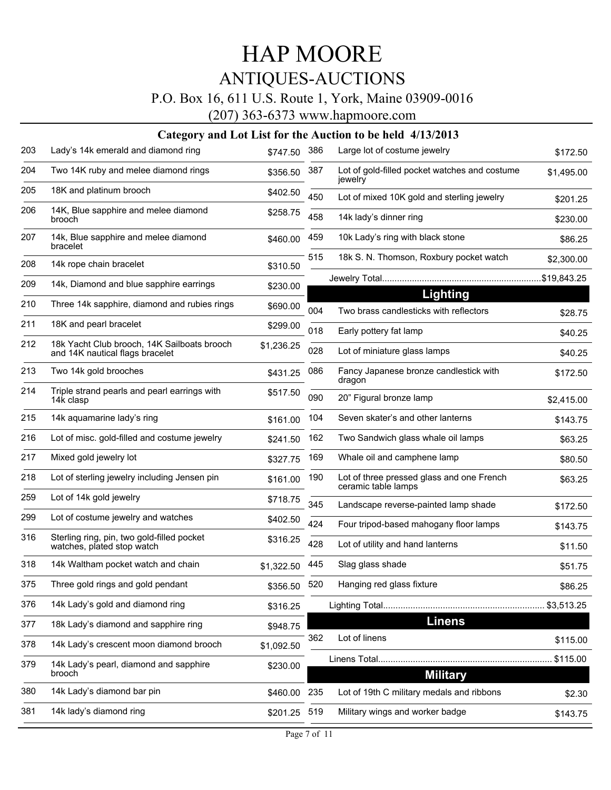### P.O. Box 16, 611 U.S. Route 1, York, Maine 03909-0016

(207) 363-6373 www.hapmoore.com

| 203 | Lady's 14k emerald and diamond ring                                            | \$747.50     | 386 | Large lot of costume jewelry                                     | \$172.50    |
|-----|--------------------------------------------------------------------------------|--------------|-----|------------------------------------------------------------------|-------------|
| 204 | Two 14K ruby and melee diamond rings                                           | \$356.50     | 387 | Lot of gold-filled pocket watches and costume<br>jewelry         | \$1,495.00  |
| 205 | 18K and platinum brooch                                                        | \$402.50     | 450 | Lot of mixed 10K gold and sterling jewelry                       | \$201.25    |
| 206 | 14K, Blue sapphire and melee diamond<br>brooch                                 | \$258.75     | 458 | 14k lady's dinner ring                                           | \$230.00    |
| 207 | 14k, Blue sapphire and melee diamond<br>bracelet                               | \$460.00     | 459 | 10k Lady's ring with black stone                                 | \$86.25     |
| 208 | 14k rope chain bracelet                                                        | \$310.50     | 515 | 18k S. N. Thomson, Roxbury pocket watch                          | \$2,300.00  |
| 209 | 14k, Diamond and blue sapphire earrings                                        | \$230.00     |     |                                                                  | \$19,843.25 |
| 210 | Three 14k sapphire, diamond and rubies rings                                   | \$690.00     | 004 | Lighting<br>Two brass candlesticks with reflectors               | \$28.75     |
| 211 | 18K and pearl bracelet                                                         | \$299.00     | 018 | Early pottery fat lamp                                           | \$40.25     |
| 212 | 18k Yacht Club brooch, 14K Sailboats brooch<br>and 14K nautical flags bracelet | \$1,236.25   | 028 | Lot of miniature glass lamps                                     | \$40.25     |
| 213 | Two 14k gold brooches                                                          | \$431.25     | 086 | Fancy Japanese bronze candlestick with<br>dragon                 | \$172.50    |
| 214 | Triple strand pearls and pearl earrings with<br>14k clasp                      | \$517.50     | 090 | 20" Figural bronze lamp                                          | \$2,415.00  |
| 215 | 14k aquamarine lady's ring                                                     | \$161.00     | 104 | Seven skater's and other lanterns                                | \$143.75    |
| 216 | Lot of misc. gold-filled and costume jewelry                                   | \$241.50     | 162 | Two Sandwich glass whale oil lamps                               | \$63.25     |
| 217 | Mixed gold jewelry lot                                                         | \$327.75     | 169 | Whale oil and camphene lamp                                      | \$80.50     |
| 218 | Lot of sterling jewelry including Jensen pin                                   | \$161.00     | 190 | Lot of three pressed glass and one French<br>ceramic table lamps | \$63.25     |
| 259 | Lot of 14k gold jewelry                                                        | \$718.75     | 345 | Landscape reverse-painted lamp shade                             | \$172.50    |
| 299 | Lot of costume jewelry and watches                                             | \$402.50     | 424 | Four tripod-based mahogany floor lamps                           | \$143.75    |
| 316 | Sterling ring, pin, two gold-filled pocket<br>watches, plated stop watch       | \$316.25     | 428 | Lot of utility and hand lanterns                                 | \$11.50     |
| 318 | 14k Waltham pocket watch and chain                                             | \$1,322.50   | 445 | Slag glass shade                                                 | \$51.75     |
| 375 | Three gold rings and gold pendant                                              | \$356.50     | 520 | Hanging red glass fixture                                        | \$86.25     |
| 376 | 14k Lady's gold and diamond ring                                               | \$316.25     |     |                                                                  |             |
| 377 | 18k Lady's diamond and sapphire ring                                           | \$948.75     |     | <b>Linens</b>                                                    |             |
| 378 | 14k Lady's crescent moon diamond brooch                                        | \$1,092.50   | 362 | Lot of linens                                                    | \$115.00    |
| 379 | 14k Lady's pearl, diamond and sapphire<br>brooch                               | \$230.00     |     | <b>Military</b>                                                  | \$115.00    |
| 380 | 14k Lady's diamond bar pin                                                     | \$460.00 235 |     | Lot of 19th C military medals and ribbons                        | \$2.30      |
| 381 | 14k lady's diamond ring                                                        | \$201.25     | 519 | Military wings and worker badge                                  | \$143.75    |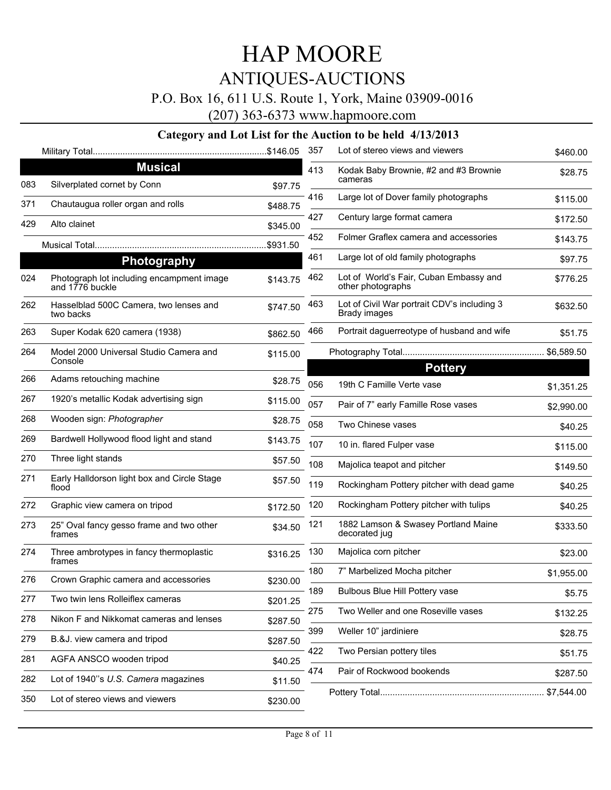### P.O. Box 16, 611 U.S. Route 1, York, Maine 03909-0016

(207) 363-6373 www.hapmoore.com

|     |                                                              |          | 357 | Lot of stereo views and viewers                                    | \$460.00   |
|-----|--------------------------------------------------------------|----------|-----|--------------------------------------------------------------------|------------|
|     | <b>Musical</b>                                               |          | 413 | Kodak Baby Brownie, #2 and #3 Brownie                              | \$28.75    |
| 083 | Silverplated cornet by Conn                                  | \$97.75  |     | cameras                                                            |            |
| 371 | Chautaugua roller organ and rolls                            | \$488.75 | 416 | Large lot of Dover family photographs                              | \$115.00   |
| 429 | Alto clainet                                                 | \$345.00 | 427 | Century large format camera                                        | \$172.50   |
|     |                                                              | \$931.50 | 452 | Folmer Graflex camera and accessories                              | \$143.75   |
|     | Photography                                                  |          | 461 | Large lot of old family photographs                                | \$97.75    |
| 024 | Photograph lot including encampment image<br>and 1776 buckle | \$143.75 | 462 | Lot of World's Fair, Cuban Embassy and<br>other photographs        | \$776.25   |
| 262 | Hasselblad 500C Camera, two lenses and<br>two backs          | \$747.50 | 463 | Lot of Civil War portrait CDV's including 3<br><b>Brady images</b> | \$632.50   |
| 263 | Super Kodak 620 camera (1938)                                | \$862.50 | 466 | Portrait daguerreotype of husband and wife                         | \$51.75    |
| 264 | Model 2000 Universal Studio Camera and<br>Console            | \$115.00 |     | <b>Pottery</b>                                                     |            |
| 266 | Adams retouching machine                                     | \$28.75  | 056 | 19th C Famille Verte vase                                          | \$1,351.25 |
| 267 | 1920's metallic Kodak advertising sign                       | \$115.00 | 057 | Pair of 7" early Famille Rose vases                                | \$2,990.00 |
| 268 | Wooden sign: Photographer                                    | \$28.75  | 058 | Two Chinese vases                                                  | \$40.25    |
| 269 | Bardwell Hollywood flood light and stand                     | \$143.75 | 107 | 10 in. flared Fulper vase                                          | \$115.00   |
| 270 | Three light stands                                           | \$57.50  | 108 | Majolica teapot and pitcher                                        | \$149.50   |
| 271 | Early Halldorson light box and Circle Stage<br>flood         | \$57.50  | 119 | Rockingham Pottery pitcher with dead game                          | \$40.25    |
| 272 | Graphic view camera on tripod                                | \$172.50 | 120 | Rockingham Pottery pitcher with tulips                             | \$40.25    |
| 273 | 25" Oval fancy gesso frame and two other<br>frames           | \$34.50  | 121 | 1882 Lamson & Swasey Portland Maine<br>decorated jug               | \$333.50   |
| 274 | Three ambrotypes in fancy thermoplastic<br>frames            | \$316.25 | 130 | Majolica corn pitcher                                              | \$23.00    |
| 276 | Crown Graphic camera and accessories                         | \$230.00 | 180 | 7" Marbelized Mocha pitcher                                        | \$1,955.00 |
| 277 | Two twin lens Rolleiflex cameras                             | \$201.25 |     | 189 Bulbous Blue Hill Pottery vase                                 | \$5.75     |
|     |                                                              |          | 275 | Two Weller and one Roseville vases                                 | \$132.25   |
| 278 | Nikon F and Nikkomat cameras and lenses                      | \$287.50 | 399 | Weller 10" jardiniere                                              | \$28.75    |
| 279 | B.&J. view camera and tripod                                 | \$287.50 | 422 | Two Persian pottery tiles                                          | \$51.75    |
| 281 | AGFA ANSCO wooden tripod                                     | \$40.25  | 474 | Pair of Rockwood bookends                                          |            |
| 282 | Lot of 1940"s U.S. Camera magazines                          | \$11.50  |     |                                                                    | \$287.50   |
| 350 | Lot of stereo views and viewers                              | \$230.00 |     |                                                                    | \$7,544.00 |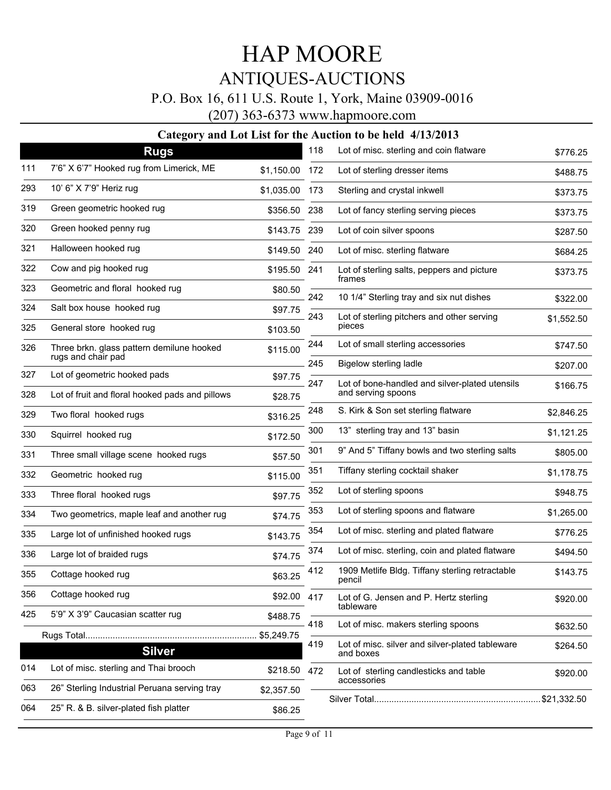### P.O. Box 16, 611 U.S. Route 1, York, Maine 03909-0016

(207) 363-6373 www.hapmoore.com

|     | ਤ<br>ູ<br><b>Rugs</b>                           |                | 118   | Lot of misc. sterling and coin flatware                      | \$776.25   |
|-----|-------------------------------------------------|----------------|-------|--------------------------------------------------------------|------------|
| 111 | 7'6" X 6'7" Hooked rug from Limerick, ME        | \$1,150.00 172 |       | Lot of sterling dresser items                                | \$488.75   |
| 293 | 10' 6" X 7'9" Heriz rug                         | \$1,035.00     | - 173 | Sterling and crystal inkwell                                 | \$373.75   |
| 319 | Green geometric hooked rug                      | \$356.50 238   |       | Lot of fancy sterling serving pieces                         | \$373.75   |
| 320 | Green hooked penny rug                          | \$143.75 239   |       | Lot of coin silver spoons                                    | \$287.50   |
| 321 | Halloween hooked rug                            | \$149.50       | 240   | Lot of misc. sterling flatware                               | \$684.25   |
| 322 | Cow and pig hooked rug                          | \$195.50 241   |       | Lot of sterling salts, peppers and picture                   | \$373.75   |
| 323 | Geometric and floral hooked rug                 | \$80.50        |       | frames                                                       |            |
| 324 | Salt box house hooked rug                       | \$97.75        | 242   | 10 1/4" Sterling tray and six nut dishes                     | \$322.00   |
| 325 | General store hooked rug                        | \$103.50       | 243   | Lot of sterling pitchers and other serving<br>pieces         | \$1,552.50 |
| 326 | Three brkn. glass pattern demilune hooked       | \$115.00       | 244   | Lot of small sterling accessories                            | \$747.50   |
|     | rugs and chair pad                              |                | 245   | <b>Bigelow sterling ladle</b>                                | \$207.00   |
| 327 | Lot of geometric hooked pads                    | \$97.75        | 247   | Lot of bone-handled and silver-plated utensils               | \$166.75   |
| 328 | Lot of fruit and floral hooked pads and pillows | \$28.75        |       | and serving spoons                                           |            |
| 329 | Two floral hooked rugs                          | \$316.25       | 248   | S. Kirk & Son set sterling flatware                          | \$2,846.25 |
| 330 | Squirrel hooked rug                             | \$172.50       | 300   | 13" sterling tray and 13" basin                              | \$1,121.25 |
| 331 | Three small village scene hooked rugs           | \$57.50        | 301   | 9" And 5" Tiffany bowls and two sterling salts               | \$805.00   |
| 332 | Geometric hooked rug                            | \$115.00       | 351   | Tiffany sterling cocktail shaker                             | \$1,178.75 |
| 333 | Three floral hooked rugs                        | \$97.75        | 352   | Lot of sterling spoons                                       | \$948.75   |
| 334 | Two geometrics, maple leaf and another rug      | \$74.75        | 353   | Lot of sterling spoons and flatware                          | \$1,265.00 |
| 335 | Large lot of unfinished hooked rugs             | \$143.75       | 354   | Lot of misc. sterling and plated flatware                    | \$776.25   |
| 336 | Large lot of braided rugs                       | \$74.75        | 374   | Lot of misc. sterling, coin and plated flatware              | \$494.50   |
| 355 | Cottage hooked rug                              | \$63.25        | 412   | 1909 Metlife Bldg. Tiffany sterling retractable<br>pencil    | \$143.75   |
| 356 | Cottage hooked rug                              | \$92.00 417    |       | Lot of G. Jensen and P. Hertz sterling                       | \$920.00   |
| 425 | 5'9" X 3'9" Caucasian scatter rug               | \$488.75       | 418   | tableware<br>Lot of misc. makers sterling spoons             |            |
|     |                                                 | \$5,249.75     |       |                                                              | \$632.50   |
|     | <b>Silver</b>                                   |                | 419   | Lot of misc. silver and silver-plated tableware<br>and boxes | \$264.50   |
| 014 | Lot of misc. sterling and Thai brooch           | \$218.50       | 472   | Lot of sterling candlesticks and table<br>accessories        | \$920.00   |
| 063 | 26" Sterling Industrial Peruana serving tray    | \$2,357.50     |       |                                                              |            |
| 064 | 25" R. & B. silver-plated fish platter          | \$86.25        |       |                                                              |            |